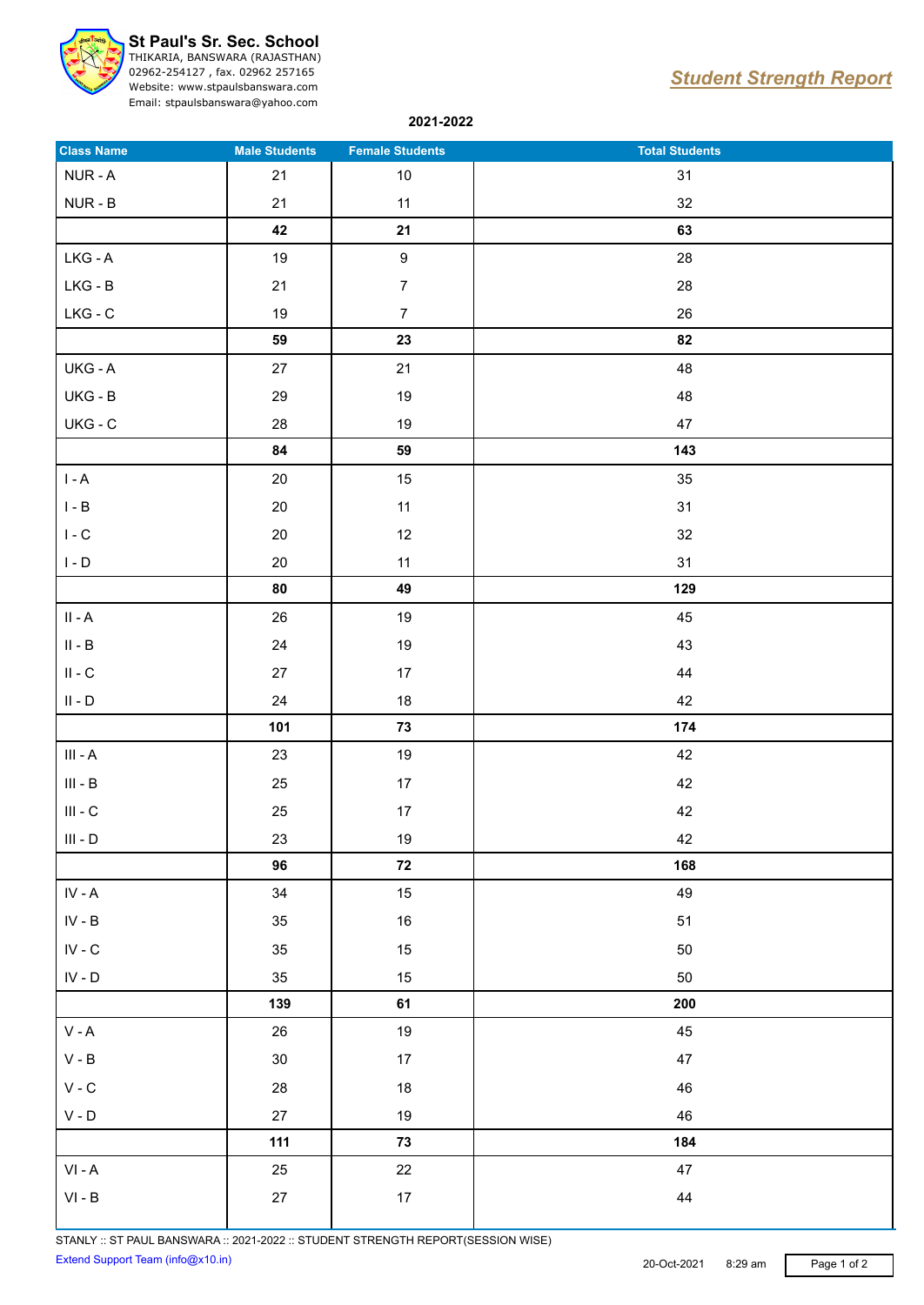

## **St Paul's Sr. Sec. School**

THIKARIA, BANSWARA (RAJASTHAN) 02962-254127 , fax. 02962 257165 Website: www.stpaulsbanswara.com

Email: stpaulsbanswara@yahoo.com

## *Student Strength Report*

**2021-2022**

| <b>Class Name</b>                                                     | <b>Male Students</b> | <b>Female Students</b> | <b>Total Students</b> |
|-----------------------------------------------------------------------|----------------------|------------------------|-----------------------|
| NUR-A                                                                 | 21                   | $10$                   | 31                    |
| NUR - B                                                               | 21                   | 11                     | 32                    |
|                                                                       | 42                   | 21                     | 63                    |
| LKG - A                                                               | 19                   | $\boldsymbol{9}$       | 28                    |
| $LKG - B$                                                             | $21\,$               | $\overline{7}$         | 28                    |
| $LKG - C$                                                             | 19                   | $\overline{7}$         | 26                    |
|                                                                       | 59                   | 23                     | 82                    |
| UKG - A                                                               | 27                   | 21                     | 48                    |
| $UKG - B$                                                             | 29                   | $19$                   | 48                    |
| $UKG - C$                                                             | 28                   | $19$                   | 47                    |
|                                                                       | 84                   | 59                     | 143                   |
| $\mathsf{I}$ - $\mathsf{A}$                                           | 20                   | 15                     | 35                    |
| $\mathsf{I}$ - $\mathsf{B}$                                           | $20\,$               | 11                     | 31                    |
| $\mathsf{I}$ - $\mathsf{C}$                                           | $20\,$               | 12                     | 32                    |
| $\mathsf{I}$ - $\mathsf{D}$                                           | 20                   | 11                     | 31                    |
|                                                                       | 80                   | 49                     | 129                   |
| $\ensuremath{\mathsf{II}}$ - $\ensuremath{\mathsf{A}}$                | 26                   | $19$                   | 45                    |
| $\ensuremath{\mathsf{II}}$ - $\ensuremath{\mathsf{B}}$                | 24                   | $19$                   | 43                    |
| $\ensuremath{\mathsf{II}}$ - $\ensuremath{\mathsf{C}}$                | 27                   | $17\,$                 | 44                    |
| $\mathsf{II}$ - $\mathsf{D}$                                          | 24                   | $18$                   | 42                    |
|                                                                       | 101                  | 73                     | 174                   |
| $\mathsf{III}\,$ - $\mathsf{A}\,$                                     | 23                   | 19                     | 42                    |
| $\ensuremath{\mathsf{III}}\xspace$ - $\ensuremath{\mathsf{B}}\xspace$ | $25\,$               | $17\,$                 | 42                    |
| $\ensuremath{\mathsf{III}}\xspace$ - $\ensuremath{\mathsf{C}}\xspace$ | 25                   | $17\,$                 | 42                    |
| $\ensuremath{\mathsf{III}}\xspace$ - $\ensuremath{\mathsf{D}}\xspace$ | 23                   | $19$                   | 42                    |
|                                                                       | 96                   | ${\bf 72}$             | 168                   |
| $\textsf{IV} \textsf{-} \textsf{A}$                                   | 34                   | 15                     | 49                    |
| ${\sf IV}$ - ${\sf B}$                                                | 35                   | $16\,$                 | 51                    |
| ${\sf IV}$ - ${\sf C}$                                                | 35                   | $15\,$                 | 50                    |
| $\textsf{IV}$ - $\textsf{D}$                                          | 35                   | 15                     | 50                    |
|                                                                       | 139                  | 61                     | 200                   |
| $\mathsf{V}$ - $\mathsf{A}$                                           | 26                   | 19                     | 45                    |
| $\mathsf{V}$ - $\mathsf{B}$                                           | $30\,$               | 17                     | $47\,$                |
| $\mathsf{V}$ - $\mathsf{C}$                                           | ${\bf 28}$           | $18\,$                 | 46                    |
| $\mathsf V$ - $\mathsf D$                                             | 27                   | $19$                   | 46                    |
|                                                                       | $111$                | ${\bf 73}$             | 184                   |
| $\mathsf{VI}$ - $\mathsf{A}$                                          | 25                   | 22                     | $47\,$                |
| $\ensuremath{\mathsf{VI}}\xspace$ - $\ensuremath{\mathsf{B}}\xspace$  | $27\,$               | 17                     | ${\bf 44}$            |
|                                                                       |                      |                        |                       |

STANLY :: ST PAUL BANSWARA :: 2021-2022 :: STUDENT STRENGTH REPORT(SESSION WISE) Extend Support Team (info@x10.in) 20-Oct-2021 8:29 am Page 1 of 2